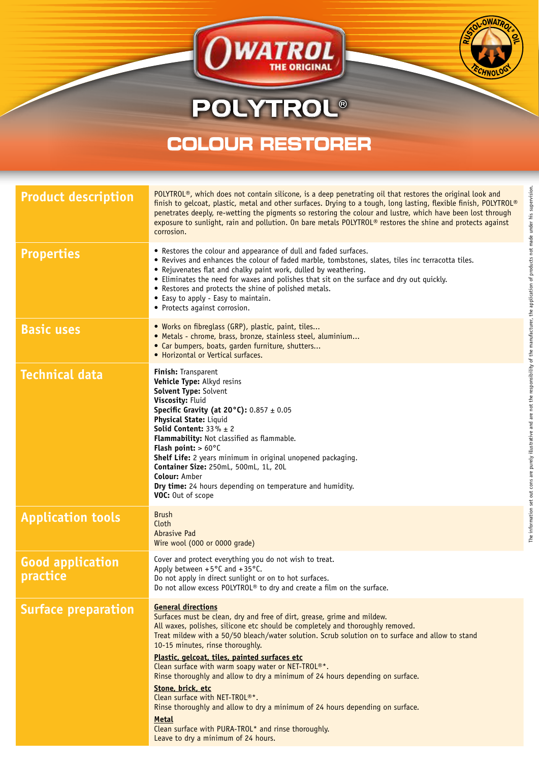## **POLYTROL®**

OWATROL

## **COLOUR RESTORER**

| <b>Product description</b>          | POLYTROL®, which does not contain silicone, is a deep penetrating oil that restores the original look and<br>finish to gelcoat, plastic, metal and other surfaces. Drying to a tough, long lasting, flexible finish, POLYTROL®<br>penetrates deeply, re-wetting the pigments so restoring the colour and lustre, which have been lost through<br>exposure to sunlight, rain and pollution. On bare metals POLYTROL® restores the shine and protects against<br>corrosion.                                                                                                                                                                                                                                                                                                                              |
|-------------------------------------|--------------------------------------------------------------------------------------------------------------------------------------------------------------------------------------------------------------------------------------------------------------------------------------------------------------------------------------------------------------------------------------------------------------------------------------------------------------------------------------------------------------------------------------------------------------------------------------------------------------------------------------------------------------------------------------------------------------------------------------------------------------------------------------------------------|
| <b>Properties</b>                   | • Restores the colour and appearance of dull and faded surfaces.<br>• Revives and enhances the colour of faded marble, tombstones, slates, tiles inc terracotta tiles.<br>• Rejuvenates flat and chalky paint work, dulled by weathering.<br>• Eliminates the need for waxes and polishes that sit on the surface and dry out quickly.<br>• Restores and protects the shine of polished metals.<br>• Easy to apply - Easy to maintain.<br>• Protects against corrosion.                                                                                                                                                                                                                                                                                                                                |
| <b>Basic uses</b>                   | . Works on fibreglass (GRP), plastic, paint, tiles<br>· Metals - chrome, brass, bronze, stainless steel, aluminium<br>• Car bumpers, boats, garden furniture, shutters<br>• Horizontal or Vertical surfaces.                                                                                                                                                                                                                                                                                                                                                                                                                                                                                                                                                                                           |
| <b>Technical data</b>               | Finish: Transparent<br>Vehicle Type: Alkyd resins<br>Solvent Type: Solvent<br>Viscosity: Fluid<br><b>Specific Gravity (at 20°C):</b> $0.857 \pm 0.05$<br><b>Physical State: Liquid</b><br><b>Solid Content:</b> $33\% \pm 2$<br>Flammability: Not classified as flammable.<br><b>Flash point:</b> $> 60^{\circ}$ C<br><b>Shelf Life:</b> 2 years minimum in original unopened packaging.<br>Container Size: 250mL, 500mL, 1L, 20L<br><b>Colour: Amber</b><br>Dry time: 24 hours depending on temperature and humidity.<br>VOC: Out of scope                                                                                                                                                                                                                                                            |
| <b>Application tools</b>            | <b>Brush</b><br>Cloth<br><b>Abrasive Pad</b><br>Wire wool (000 or 0000 grade)                                                                                                                                                                                                                                                                                                                                                                                                                                                                                                                                                                                                                                                                                                                          |
| <b>Good application</b><br>practice | Cover and protect everything you do not wish to treat.<br>Apply between $+5^{\circ}$ C and $+35^{\circ}$ C.<br>Do not apply in direct sunlight or on to hot surfaces.<br>Do not allow excess POLYTROL <sup>®</sup> to dry and create a film on the surface.                                                                                                                                                                                                                                                                                                                                                                                                                                                                                                                                            |
| <b>Surface preparation</b>          | <b>General directions</b><br>Surfaces must be clean, dry and free of dirt, grease, grime and mildew.<br>All waxes, polishes, silicone etc should be completely and thoroughly removed.<br>Treat mildew with a 50/50 bleach/water solution. Scrub solution on to surface and allow to stand<br>10-15 minutes, rinse thoroughly.<br>Plastic, gelcoat, tiles, painted surfaces etc<br>Clean surface with warm soapy water or NET-TROL <sup>®*</sup> .<br>Rinse thoroughly and allow to dry a minimum of 24 hours depending on surface.<br>Stone, brick, etc<br>Clean surface with NET-TROL <sup>®*</sup> .<br>Rinse thoroughly and allow to dry a minimum of 24 hours depending on surface.<br><b>Metal</b><br>Clean surface with PURA-TROL* and rinse thoroughly.<br>Leave to dry a minimum of 24 hours. |

**OWATA**